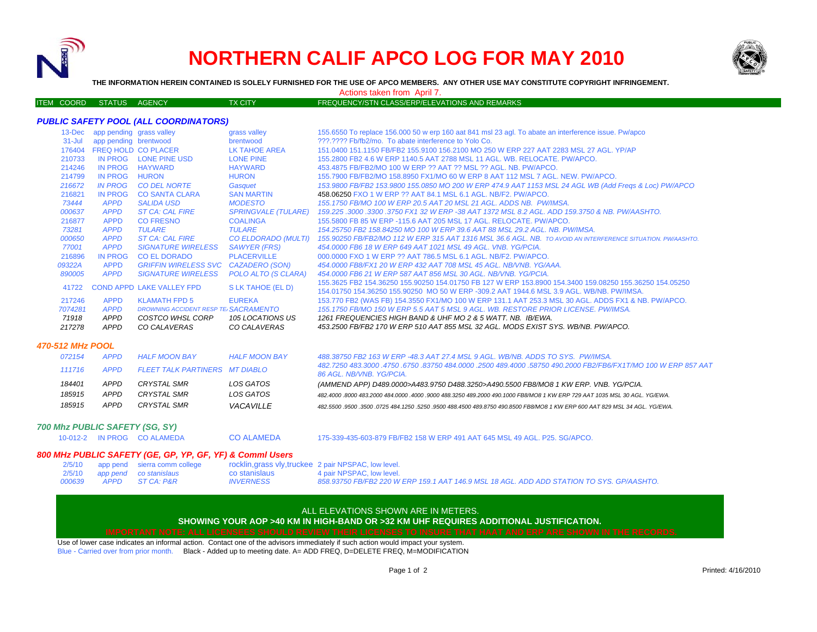

# **NORTHERN CALIF APCO LOG FOR MAY 2010**



**THE INFORMATION HEREIN CONTAINED IS SOLELY FURNISHED FOR THE USE OF APCO MEMBERS. ANY OTHER USE MAY CONSTITUTE COPYRIGHT INFRINGEMENT.**

Actions taken from April 7.

#### ITEM COORD STATUS AGENCY TX CITY TIES TO PREQUENCY/STN CLASS/ERP/ELEVATIONS AND REMARKS

### *PUBLIC SAFETY POOL (ALL COORDINATORS)*

| $31 -$ Jul<br>210733<br>214246<br>214799<br>216672<br>216821<br>73444<br>000637<br>216877<br>73281<br>000650<br>77001<br>216896<br>09322A<br>890005<br>41722<br>217246<br>7074281<br>71918<br>217278 | 13-Dec app pending grass valley<br>app pending brentwood<br>176404 FREQ HOLD CO PLACER<br>IN PROG HAYWARD<br><b>IN PROG</b><br><b>IN PROG</b><br><b>IN PROG</b><br><b>APPD</b><br><b>APPD</b><br><b>APPD</b><br><b>APPD</b><br><b>APPD</b><br><b>APPD</b><br><b>IN PROG</b><br><b>APPD</b><br><b>APPD</b><br><b>APPD</b><br><b>APPD</b><br>APPD<br><b>APPD</b> | IN PROG LONE PINE USD<br><b>HURON</b><br><b>CO DEL NORTE</b><br><b>CO SANTA CLARA</b><br><b>SALIDA USD</b><br><b>ST CA: CAL FIRE</b><br><b>CO FRESNO</b><br><b>TULARE</b><br><b>ST CA: CAL FIRE</b><br><b>SIGNATURE WIRELESS</b><br><b>CO EL DORADO</b><br>GRIFFIN WIRELESS SVC CAZADERO (SON)<br><b>SIGNATURE WIRELESS</b><br><b>COND APPD LAKE VALLEY FPD</b><br><b>KLAMATH FPD 5</b><br><b>DROWNING ACCIDENT RESP TE SACRAMENTO</b><br><b>COSTCO WHSL CORP</b><br>CO CALAVERAS | grass valley<br>brentwood<br>LK TAHOE AREA<br><b>LONE PINE</b><br><b>HAYWARD</b><br><b>HURON</b><br>Gasquet<br><b>SAN MARTIN</b><br><b>MODESTO</b><br><b>SPRINGVALE (TULARE)</b><br><b>COALINGA</b><br><b>TULARE</b><br><b>CO ELDORADO (MULTI)</b><br><b>SAWYER (FRS)</b><br><b>PLACERVILLE</b><br>POLO ALTO (S CLARA)<br>S LK TAHOE (EL D)<br><b>EUREKA</b><br>105 LOCATIONS US<br>CO CALAVERAS | 155.6550 To replace 156.000 50 w erp 160 aat 841 msl 23 agl. To abate an interference issue. Pw/apco<br>222.2222 Fb/fb2/mo. To abate interference to Yolo Co.<br>151.0400 151.1150 FB/FB2 155.9100 156.2100 MO 250 W ERP 227 AAT 2283 MSL 27 AGL, YP/AP<br>155,2800 FB2 4.6 W ERP 1140.5 AAT 2788 MSL 11 AGL, WB, RELOCATE, PW/APCO,<br>453.4875 FB/FB2/MO 100 W ERP ?? AAT ?? MSL ?? AGL, NB, PW/APCO,<br>155.7900 FB/FB2/MO 158.8950 FX1/MO 60 W ERP 8 AAT 112 MSL 7 AGL, NEW, PW/APCO,<br>153.9800 FB/FB2 153.9800 155.0850 MO 200 W ERP 474.9 AAT 1153 MSL 24 AGL WB (Add Freqs & Loc) PW/APCO<br>458,06250 FXO 1 W ERP ?? AAT 84.1 MSL 6.1 AGL, NB/F2, PW/APCO.<br>155,1750 FB/MO 100 W ERP 20.5 AAT 20 MSL 21 AGL, ADDS NB. PW/IMSA.<br>159.225 .3000 .3300 .3750 FX1 32 W ERP -38 AAT 1372 MSL 8.2 AGL. ADD 159.3750 & NB. PW/AASHTO.<br>155,5800 FB 85 W ERP -115.6 AAT 205 MSL 17 AGL, RELOCATE, PW/APCO.<br>154.25750 FB2 158.84250 MO 100 W ERP 39.6 AAT 88 MSL 29.2 AGL. NB. PW/IMSA.<br>155,90250 FB/FB2/MO 112 W ERP 315 AAT 1316 MSL 36.6 AGL. NB. TO AVOID AN INTERFERENCE SITUATION, PW/AASHTO,<br>454,0000 FB6 18 W ERP 649 AAT 1021 MSL 49 AGL, VNB, YG/PCIA.<br>000,0000 FXO 1 W ERP ?? AAT 786.5 MSL 6.1 AGL, NB/F2, PW/APCO.<br>454,0000 FB8/FX1 20 W ERP 432 AAT 708 MSL 45 AGL. NB/VNB. YG/AAA.<br>454,0000 FB6 21 W ERP 587 AAT 856 MSL 30 AGL, NB/VNB, YG/PCIA.<br>155.3625 FB2 154.36250 155.90250 154.01750 FB 127 W ERP 153.8900 154.3400 159.08250 155.36250 154.05250<br>154,01750 154,36250 155,90250 MO 50 W ERP -309.2 AAT 1944.6 MSL 3.9 AGL, WB/NB, PW/IMSA,<br>153.770 FB2 (WAS FB) 154.3550 FX1/MO 100 W ERP 131.1 AAT 253.3 MSL 30 AGL. ADDS FX1 & NB. PW/APCO.<br>155.1750 FB/MO 150 W ERP 5.5 AAT 5 MSL 9 AGL. WB. RESTORE PRIOR LICENSE. PW/IMSA.<br>1261 FREQUENCIES HIGH BAND & UHF MO 2 & 5 WATT, NB, IB/EWA.<br>453.2500 FB/FB2 170 W ERP 510 AAT 855 MSL 32 AGL. MODS EXIST SYS. WB/NB, PW/APCO. |
|------------------------------------------------------------------------------------------------------------------------------------------------------------------------------------------------------|----------------------------------------------------------------------------------------------------------------------------------------------------------------------------------------------------------------------------------------------------------------------------------------------------------------------------------------------------------------|-----------------------------------------------------------------------------------------------------------------------------------------------------------------------------------------------------------------------------------------------------------------------------------------------------------------------------------------------------------------------------------------------------------------------------------------------------------------------------------|--------------------------------------------------------------------------------------------------------------------------------------------------------------------------------------------------------------------------------------------------------------------------------------------------------------------------------------------------------------------------------------------------|-------------------------------------------------------------------------------------------------------------------------------------------------------------------------------------------------------------------------------------------------------------------------------------------------------------------------------------------------------------------------------------------------------------------------------------------------------------------------------------------------------------------------------------------------------------------------------------------------------------------------------------------------------------------------------------------------------------------------------------------------------------------------------------------------------------------------------------------------------------------------------------------------------------------------------------------------------------------------------------------------------------------------------------------------------------------------------------------------------------------------------------------------------------------------------------------------------------------------------------------------------------------------------------------------------------------------------------------------------------------------------------------------------------------------------------------------------------------------------------------------------------------------------------------------------------------------------------------------------------------------------------------------------------------------------------------------------------------------------------------------------------------------------------------------------------------------------------------------------------------------------------------------------------------------------------------------|
|                                                                                                                                                                                                      |                                                                                                                                                                                                                                                                                                                                                                |                                                                                                                                                                                                                                                                                                                                                                                                                                                                                   |                                                                                                                                                                                                                                                                                                                                                                                                  |                                                                                                                                                                                                                                                                                                                                                                                                                                                                                                                                                                                                                                                                                                                                                                                                                                                                                                                                                                                                                                                                                                                                                                                                                                                                                                                                                                                                                                                                                                                                                                                                                                                                                                                                                                                                                                                                                                                                                 |
| 470-512 MHz POOL                                                                                                                                                                                     |                                                                                                                                                                                                                                                                                                                                                                |                                                                                                                                                                                                                                                                                                                                                                                                                                                                                   |                                                                                                                                                                                                                                                                                                                                                                                                  |                                                                                                                                                                                                                                                                                                                                                                                                                                                                                                                                                                                                                                                                                                                                                                                                                                                                                                                                                                                                                                                                                                                                                                                                                                                                                                                                                                                                                                                                                                                                                                                                                                                                                                                                                                                                                                                                                                                                                 |
| 072154                                                                                                                                                                                               | <b>APPD</b>                                                                                                                                                                                                                                                                                                                                                    | <b>HALF MOON BAY</b>                                                                                                                                                                                                                                                                                                                                                                                                                                                              | <b>HALF MOON BAY</b>                                                                                                                                                                                                                                                                                                                                                                             | 488.38750 FB2 163 W ERP -48.3 AAT 27.4 MSL 9 AGL. WB/NB. ADDS TO SYS. PW/IMSA.<br>482.7250 483.3000 .4750 .6750 .83750 484.0000 .2500 489.4000 .58750 490.2000 FB2/FB6/FX1T/MO 100 W ERP 857 AAT                                                                                                                                                                                                                                                                                                                                                                                                                                                                                                                                                                                                                                                                                                                                                                                                                                                                                                                                                                                                                                                                                                                                                                                                                                                                                                                                                                                                                                                                                                                                                                                                                                                                                                                                                |
| 111716                                                                                                                                                                                               | <b>APPD</b>                                                                                                                                                                                                                                                                                                                                                    | <b>FLEET TALK PARTINERS MT DIABLO</b>                                                                                                                                                                                                                                                                                                                                                                                                                                             |                                                                                                                                                                                                                                                                                                                                                                                                  | 86 AGL. NB/VNB. YG/PCIA.                                                                                                                                                                                                                                                                                                                                                                                                                                                                                                                                                                                                                                                                                                                                                                                                                                                                                                                                                                                                                                                                                                                                                                                                                                                                                                                                                                                                                                                                                                                                                                                                                                                                                                                                                                                                                                                                                                                        |
| 184401                                                                                                                                                                                               | <b>APPD</b>                                                                                                                                                                                                                                                                                                                                                    | <b>CRYSTAL SMR</b>                                                                                                                                                                                                                                                                                                                                                                                                                                                                | <b>LOS GATOS</b>                                                                                                                                                                                                                                                                                                                                                                                 | (AMMEND APP) D489.0000>A483.9750 D488.3250>A490.5500 FB8/MO8 1 KW ERP. VNB. YG/PCIA.                                                                                                                                                                                                                                                                                                                                                                                                                                                                                                                                                                                                                                                                                                                                                                                                                                                                                                                                                                                                                                                                                                                                                                                                                                                                                                                                                                                                                                                                                                                                                                                                                                                                                                                                                                                                                                                            |
| 185915                                                                                                                                                                                               | <b>APPD</b>                                                                                                                                                                                                                                                                                                                                                    | <b>CRYSTAL SMR</b>                                                                                                                                                                                                                                                                                                                                                                                                                                                                | LOS GATOS                                                                                                                                                                                                                                                                                                                                                                                        | 482.4000.8000 483.2000 484.0000 .4000 .9000 488.3250 489.2000 490.1000 FB8/MO8 1 KW ERP 729 AAT 1035 MSL 30 AGL, YG/EWA,                                                                                                                                                                                                                                                                                                                                                                                                                                                                                                                                                                                                                                                                                                                                                                                                                                                                                                                                                                                                                                                                                                                                                                                                                                                                                                                                                                                                                                                                                                                                                                                                                                                                                                                                                                                                                        |
| 185915                                                                                                                                                                                               | <b>APPD</b>                                                                                                                                                                                                                                                                                                                                                    | <b>CRYSTAL SMR</b>                                                                                                                                                                                                                                                                                                                                                                                                                                                                | VACAVILLE                                                                                                                                                                                                                                                                                                                                                                                        | 482.5500.9500.3500.0725 484.1250.5250.9500 488.4500 489.8750 490.8500 FB8/MO8 1 KW ERP 600 AAT 829 MSL 34 AGL. YG/EWA.                                                                                                                                                                                                                                                                                                                                                                                                                                                                                                                                                                                                                                                                                                                                                                                                                                                                                                                                                                                                                                                                                                                                                                                                                                                                                                                                                                                                                                                                                                                                                                                                                                                                                                                                                                                                                          |
|                                                                                                                                                                                                      |                                                                                                                                                                                                                                                                                                                                                                |                                                                                                                                                                                                                                                                                                                                                                                                                                                                                   |                                                                                                                                                                                                                                                                                                                                                                                                  |                                                                                                                                                                                                                                                                                                                                                                                                                                                                                                                                                                                                                                                                                                                                                                                                                                                                                                                                                                                                                                                                                                                                                                                                                                                                                                                                                                                                                                                                                                                                                                                                                                                                                                                                                                                                                                                                                                                                                 |

### *700 Mhz PUBLIC SAFETY (SG, SY)*

10-012-2 IN PROG CO ALAMEDA

CO ALAMEDA 175-339-435-603-879 FB/FB2 158 W ERP 491 AAT 645 MSL 49 AGL. P25. SG/APCO.

## *800 MHz PUBLIC SAFETY (GE, GP, YP, GF, YF) & Comml Users*

|  | 2/5/10 app pend sierra comm college |                  | rocklin, grass vly, truckee 2 pair NPSPAC, low level.                                     |
|--|-------------------------------------|------------------|-------------------------------------------------------------------------------------------|
|  | 2/5/10 app pend co stanislaus       | co stanislaus    | 4 pair NPSPAC, low level.                                                                 |
|  | 000639 APPD ST CA: P&R              | <b>INVERNESS</b> | 858.93750 FB/FB2 220 W ERP 159.1 AAT 146.9 MSL 18 AGL. ADD ADD STATION TO SYS. GP/AASHTO. |

## ALL ELEVATIONS SHOWN ARE IN METERS.

## **SHOWING YOUR AOP >40 KM IN HIGH-BAND OR >32 KM UHF REQUIRES ADDITIONAL JUSTIFICATION.**

Use of lower case indicates an informal action. Contact one of the advisors immediately if such action would impact your system. Blue - Carried over from prior month. Black - Added up to meeting date. A= ADD FREQ, D=DELETE FREQ, M=MODIFICATION